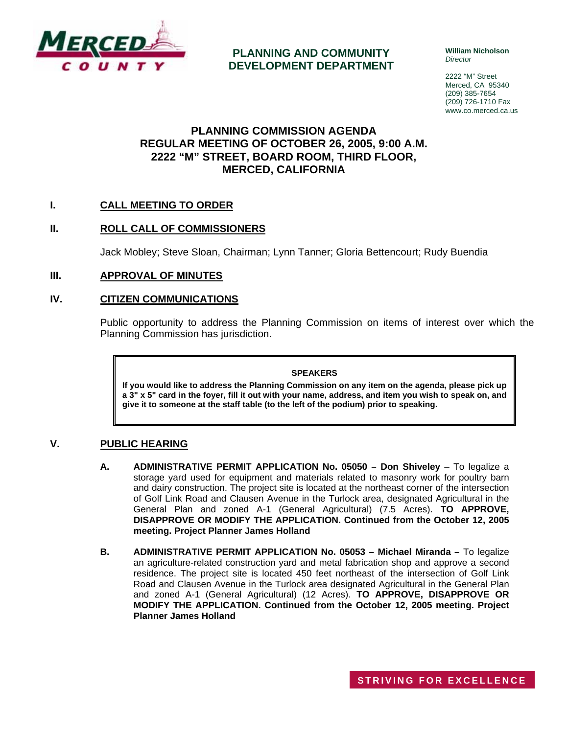

## **PLANNING AND COMMUNITY DEVELOPMENT DEPARTMENT**

**William Nicholson**  *Director* 

2222 "M" Street Merced, CA 95340 (209) 385-7654 (209) 726-1710 Fax www.co.merced.ca.us

## **PLANNING COMMISSION AGENDA REGULAR MEETING OF OCTOBER 26, 2005, 9:00 A.M. 2222 "M" STREET, BOARD ROOM, THIRD FLOOR, MERCED, CALIFORNIA**

## **I. CALL MEETING TO ORDER**

## **II. ROLL CALL OF COMMISSIONERS**

Jack Mobley; Steve Sloan, Chairman; Lynn Tanner; Gloria Bettencourt; Rudy Buendia

#### **III. APPROVAL OF MINUTES**

#### **IV. CITIZEN COMMUNICATIONS**

Public opportunity to address the Planning Commission on items of interest over which the Planning Commission has jurisdiction.

#### **SPEAKERS**

**If you would like to address the Planning Commission on any item on the agenda, please pick up a 3" x 5" card in the foyer, fill it out with your name, address, and item you wish to speak on, and give it to someone at the staff table (to the left of the podium) prior to speaking.**

#### **V. PUBLIC HEARING**

- **A. ADMINISTRATIVE PERMIT APPLICATION No. 05050 Don Shiveley** To legalize a storage yard used for equipment and materials related to masonry work for poultry barn and dairy construction. The project site is located at the northeast corner of the intersection of Golf Link Road and Clausen Avenue in the Turlock area, designated Agricultural in the General Plan and zoned A-1 (General Agricultural) (7.5 Acres). **TO APPROVE, DISAPPROVE OR MODIFY THE APPLICATION. Continued from the October 12, 2005 meeting. Project Planner James Holland**
- **B. ADMINISTRATIVE PERMIT APPLICATION No. 05053 Michael Miranda –** To legalize an agriculture-related construction yard and metal fabrication shop and approve a second residence. The project site is located 450 feet northeast of the intersection of Golf Link Road and Clausen Avenue in the Turlock area designated Agricultural in the General Plan and zoned A-1 (General Agricultural) (12 Acres). **TO APPROVE, DISAPPROVE OR MODIFY THE APPLICATION. Continued from the October 12, 2005 meeting. Project Planner James Holland**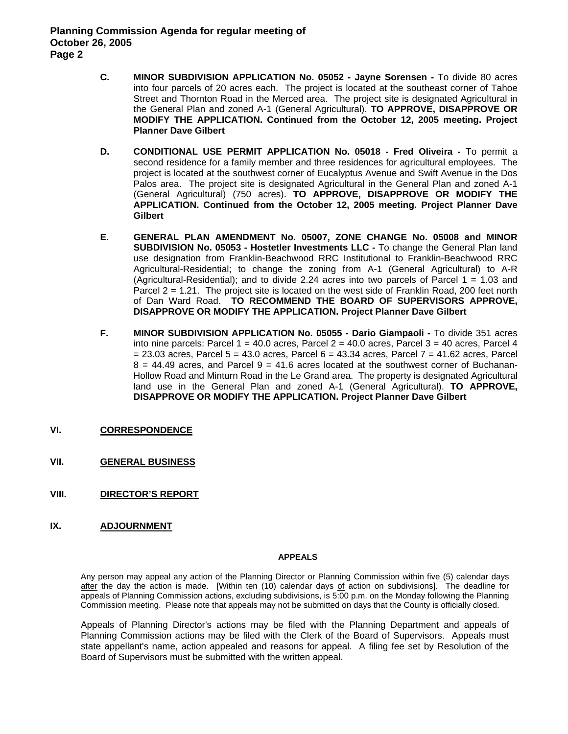- **C. MINOR SUBDIVISION APPLICATION No. 05052 Jayne Sorensen** To divide 80 acres into four parcels of 20 acres each. The project is located at the southeast corner of Tahoe Street and Thornton Road in the Merced area. The project site is designated Agricultural in the General Plan and zoned A-1 (General Agricultural). **TO APPROVE, DISAPPROVE OR MODIFY THE APPLICATION. Continued from the October 12, 2005 meeting. Project Planner Dave Gilbert**
- **D. CONDITIONAL USE PERMIT APPLICATION No. 05018 Fred Oliveira To permit a** second residence for a family member and three residences for agricultural employees. The project is located at the southwest corner of Eucalyptus Avenue and Swift Avenue in the Dos Palos area. The project site is designated Agricultural in the General Plan and zoned A-1 (General Agricultural) (750 acres). **TO APPROVE, DISAPPROVE OR MODIFY THE APPLICATION. Continued from the October 12, 2005 meeting. Project Planner Dave Gilbert**
- **E. GENERAL PLAN AMENDMENT No. 05007, ZONE CHANGE No. 05008 and MINOR SUBDIVISION No. 05053 - Hostetler Investments LLC -** To change the General Plan land use designation from Franklin-Beachwood RRC Institutional to Franklin-Beachwood RRC Agricultural-Residential; to change the zoning from A-1 (General Agricultural) to A-R (Agricultural-Residential); and to divide 2.24 acres into two parcels of Parcel  $1 = 1.03$  and Parcel 2 = 1.21. The project site is located on the west side of Franklin Road, 200 feet north of Dan Ward Road. **TO RECOMMEND THE BOARD OF SUPERVISORS APPROVE, DISAPPROVE OR MODIFY THE APPLICATION. Project Planner Dave Gilbert**
- **F. MINOR SUBDIVISION APPLICATION No. 05055 Dario Giampaoli** To divide 351 acres into nine parcels: Parcel  $1 = 40.0$  acres, Parcel  $2 = 40.0$  acres, Parcel  $3 = 40$  acres, Parcel 4  $= 23.03$  acres, Parcel  $5 = 43.0$  acres, Parcel  $6 = 43.34$  acres, Parcel  $7 = 41.62$  acres, Parcel  $8 = 44.49$  acres, and Parcel  $9 = 41.6$  acres located at the southwest corner of Buchanan-Hollow Road and Minturn Road in the Le Grand area. The property is designated Agricultural land use in the General Plan and zoned A-1 (General Agricultural). **TO APPROVE, DISAPPROVE OR MODIFY THE APPLICATION. Project Planner Dave Gilbert**
- **VI. CORRESPONDENCE**
- **VII. GENERAL BUSINESS**
- **VIII. DIRECTOR'S REPORT**
- **IX. ADJOURNMENT**

#### **APPEALS**

Any person may appeal any action of the Planning Director or Planning Commission within five (5) calendar days after the day the action is made. [Within ten (10) calendar days of action on subdivisions]. The deadline for appeals of Planning Commission actions, excluding subdivisions, is 5:00 p.m. on the Monday following the Planning Commission meeting. Please note that appeals may not be submitted on days that the County is officially closed.

Appeals of Planning Director's actions may be filed with the Planning Department and appeals of Planning Commission actions may be filed with the Clerk of the Board of Supervisors. Appeals must state appellant's name, action appealed and reasons for appeal. A filing fee set by Resolution of the Board of Supervisors must be submitted with the written appeal.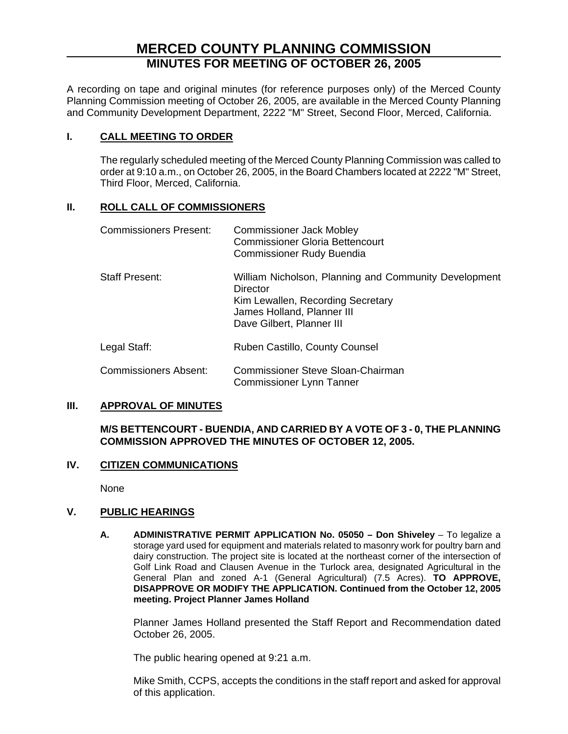# **MERCED COUNTY PLANNING COMMISSION MINUTES FOR MEETING OF OCTOBER 26, 2005**

A recording on tape and original minutes (for reference purposes only) of the Merced County Planning Commission meeting of October 26, 2005, are available in the Merced County Planning and Community Development Department, 2222 "M" Street, Second Floor, Merced, California.

## **I. CALL MEETING TO ORDER**

The regularly scheduled meeting of the Merced County Planning Commission was called to order at 9:10 a.m., on October 26, 2005, in the Board Chambers located at 2222 "M" Street, Third Floor, Merced, California.

## **II. ROLL CALL OF COMMISSIONERS**

| <b>Commissioners Present:</b> | <b>Commissioner Jack Mobley</b><br><b>Commissioner Gloria Bettencourt</b><br><b>Commissioner Rudy Buendia</b>                                                     |
|-------------------------------|-------------------------------------------------------------------------------------------------------------------------------------------------------------------|
| <b>Staff Present:</b>         | William Nicholson, Planning and Community Development<br>Director<br>Kim Lewallen, Recording Secretary<br>James Holland, Planner III<br>Dave Gilbert, Planner III |
| Legal Staff:                  | Ruben Castillo, County Counsel                                                                                                                                    |
| <b>Commissioners Absent:</b>  | <b>Commissioner Steve Sloan-Chairman</b><br><b>Commissioner Lynn Tanner</b>                                                                                       |

#### **III. APPROVAL OF MINUTES**

## **M/S BETTENCOURT - BUENDIA, AND CARRIED BY A VOTE OF 3 - 0, THE PLANNING COMMISSION APPROVED THE MINUTES OF OCTOBER 12, 2005.**

## **IV. CITIZEN COMMUNICATIONS**

None

## **V. PUBLIC HEARINGS**

**A. ADMINISTRATIVE PERMIT APPLICATION No. 05050 – Don Shiveley** – To legalize a storage yard used for equipment and materials related to masonry work for poultry barn and dairy construction. The project site is located at the northeast corner of the intersection of Golf Link Road and Clausen Avenue in the Turlock area, designated Agricultural in the General Plan and zoned A-1 (General Agricultural) (7.5 Acres). **TO APPROVE, DISAPPROVE OR MODIFY THE APPLICATION. Continued from the October 12, 2005 meeting. Project Planner James Holland** 

Planner James Holland presented the Staff Report and Recommendation dated October 26, 2005.

The public hearing opened at 9:21 a.m.

Mike Smith, CCPS, accepts the conditions in the staff report and asked for approval of this application.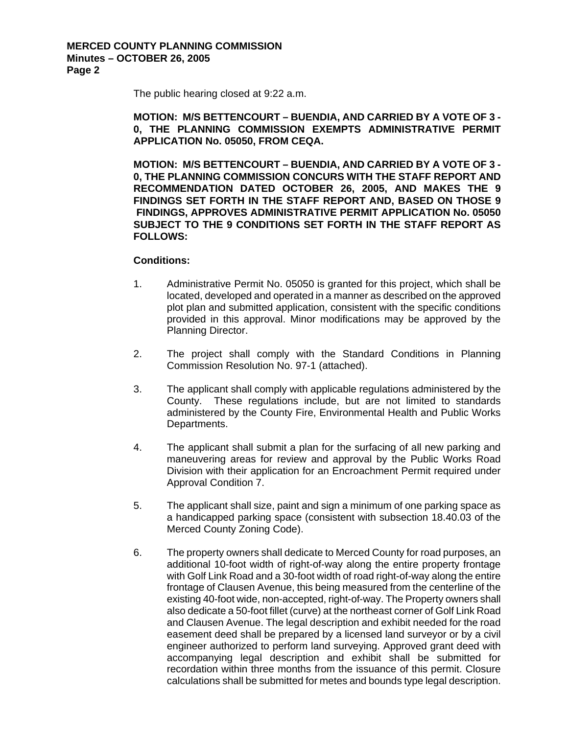The public hearing closed at 9:22 a.m.

**MOTION: M/S BETTENCOURT – BUENDIA, AND CARRIED BY A VOTE OF 3 - 0, THE PLANNING COMMISSION EXEMPTS ADMINISTRATIVE PERMIT APPLICATION No. 05050, FROM CEQA.** 

**MOTION: M/S BETTENCOURT – BUENDIA, AND CARRIED BY A VOTE OF 3 - 0, THE PLANNING COMMISSION CONCURS WITH THE STAFF REPORT AND RECOMMENDATION DATED OCTOBER 26, 2005, AND MAKES THE 9 FINDINGS SET FORTH IN THE STAFF REPORT AND, BASED ON THOSE 9 FINDINGS, APPROVES ADMINISTRATIVE PERMIT APPLICATION No. 05050 SUBJECT TO THE 9 CONDITIONS SET FORTH IN THE STAFF REPORT AS FOLLOWS:** 

### **Conditions:**

- 1. Administrative Permit No. 05050 is granted for this project, which shall be located, developed and operated in a manner as described on the approved plot plan and submitted application, consistent with the specific conditions provided in this approval. Minor modifications may be approved by the Planning Director.
- 2. The project shall comply with the Standard Conditions in Planning Commission Resolution No. 97-1 (attached).
- 3. The applicant shall comply with applicable regulations administered by the County. These regulations include, but are not limited to standards administered by the County Fire, Environmental Health and Public Works Departments.
- 4. The applicant shall submit a plan for the surfacing of all new parking and maneuvering areas for review and approval by the Public Works Road Division with their application for an Encroachment Permit required under Approval Condition 7.
- 5. The applicant shall size, paint and sign a minimum of one parking space as a handicapped parking space (consistent with subsection 18.40.03 of the Merced County Zoning Code).
- 6. The property owners shall dedicate to Merced County for road purposes, an additional 10-foot width of right-of-way along the entire property frontage with Golf Link Road and a 30-foot width of road right-of-way along the entire frontage of Clausen Avenue, this being measured from the centerline of the existing 40-foot wide, non-accepted, right-of-way. The Property owners shall also dedicate a 50-foot fillet (curve) at the northeast corner of Golf Link Road and Clausen Avenue. The legal description and exhibit needed for the road easement deed shall be prepared by a licensed land surveyor or by a civil engineer authorized to perform land surveying. Approved grant deed with accompanying legal description and exhibit shall be submitted for recordation within three months from the issuance of this permit. Closure calculations shall be submitted for metes and bounds type legal description.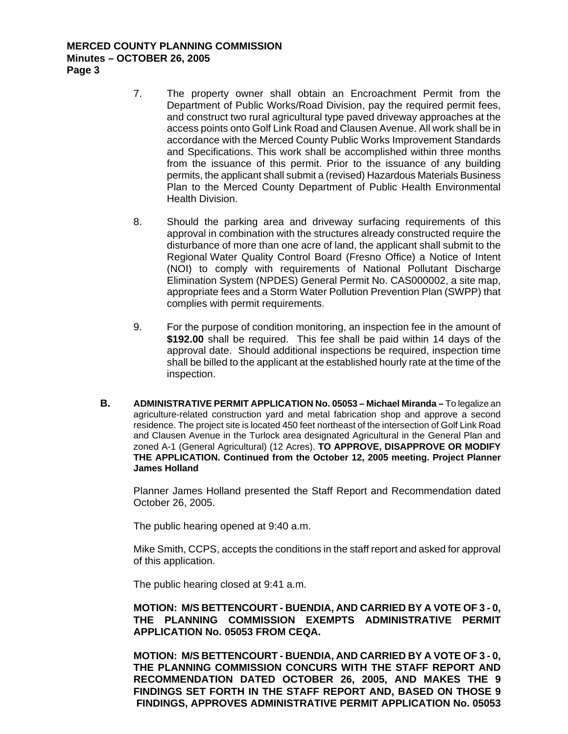#### **MERCED COUNTY PLANNING COMMISSION Minutes – OCTOBER 26, 2005 Page 3**

- 7. The property owner shall obtain an Encroachment Permit from the Department of Public Works/Road Division, pay the required permit fees, and construct two rural agricultural type paved driveway approaches at the access points onto Golf Link Road and Clausen Avenue. All work shall be in accordance with the Merced County Public Works Improvement Standards and Specifications. This work shall be accomplished within three months from the issuance of this permit. Prior to the issuance of any building permits, the applicant shall submit a (revised) Hazardous Materials Business Plan to the Merced County Department of Public Health Environmental Health Division.
- 8. Should the parking area and driveway surfacing requirements of this approval in combination with the structures already constructed require the disturbance of more than one acre of land, the applicant shall submit to the Regional Water Quality Control Board (Fresno Office) a Notice of Intent (NOI) to comply with requirements of National Pollutant Discharge Elimination System (NPDES) General Permit No. CAS000002, a site map, appropriate fees and a Storm Water Pollution Prevention Plan (SWPP) that complies with permit requirements.
- 9. For the purpose of condition monitoring, an inspection fee in the amount of **\$192.00** shall be required. This fee shall be paid within 14 days of the approval date. Should additional inspections be required, inspection time shall be billed to the applicant at the established hourly rate at the time of the inspection.
- **B. ADMINISTRATIVE PERMIT APPLICATION No. 05053 Michael Miranda –** To legalize an agriculture-related construction yard and metal fabrication shop and approve a second residence. The project site is located 450 feet northeast of the intersection of Golf Link Road and Clausen Avenue in the Turlock area designated Agricultural in the General Plan and zoned A-1 (General Agricultural) (12 Acres). **TO APPROVE, DISAPPROVE OR MODIFY THE APPLICATION. Continued from the October 12, 2005 meeting. Project Planner James Holland**

Planner James Holland presented the Staff Report and Recommendation dated October 26, 2005.

The public hearing opened at 9:40 a.m.

Mike Smith, CCPS, accepts the conditions in the staff report and asked for approval of this application.

The public hearing closed at 9:41 a.m.

#### **MOTION: M/S BETTENCOURT - BUENDIA, AND CARRIED BY A VOTE OF 3 - 0, THE PLANNING COMMISSION EXEMPTS ADMINISTRATIVE PERMIT APPLICATION No. 05053 FROM CEQA.**

**MOTION: M/S BETTENCOURT - BUENDIA, AND CARRIED BY A VOTE OF 3 - 0, THE PLANNING COMMISSION CONCURS WITH THE STAFF REPORT AND RECOMMENDATION DATED OCTOBER 26, 2005, AND MAKES THE 9 FINDINGS SET FORTH IN THE STAFF REPORT AND, BASED ON THOSE 9 FINDINGS, APPROVES ADMINISTRATIVE PERMIT APPLICATION No. 05053**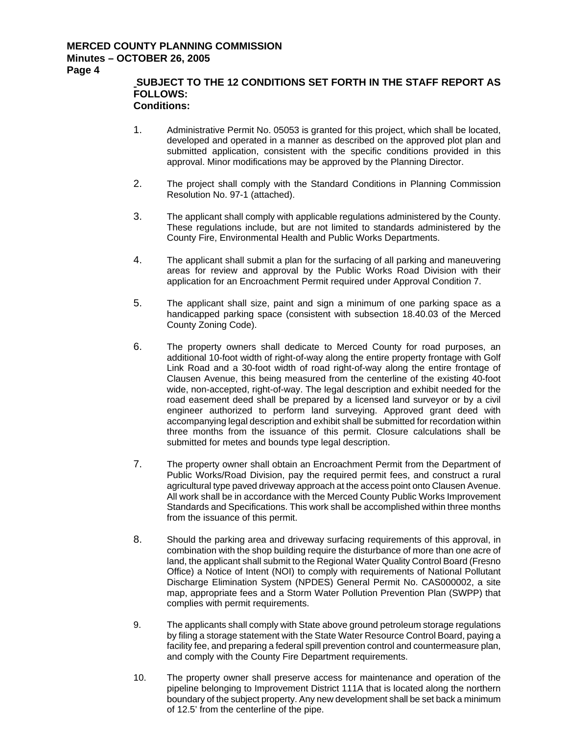### **MERCED COUNTY PLANNING COMMISSION Minutes – OCTOBER 26, 2005**

**Page 4** 

#### **SUBJECT TO THE 12 CONDITIONS SET FORTH IN THE STAFF REPORT AS FOLLOWS: Conditions:**

- 1. Administrative Permit No. 05053 is granted for this project, which shall be located, developed and operated in a manner as described on the approved plot plan and submitted application, consistent with the specific conditions provided in this approval. Minor modifications may be approved by the Planning Director.
- 2. The project shall comply with the Standard Conditions in Planning Commission Resolution No. 97-1 (attached).
- 3. The applicant shall comply with applicable regulations administered by the County. These regulations include, but are not limited to standards administered by the County Fire, Environmental Health and Public Works Departments.
- 4. The applicant shall submit a plan for the surfacing of all parking and maneuvering areas for review and approval by the Public Works Road Division with their application for an Encroachment Permit required under Approval Condition 7.
- 5. The applicant shall size, paint and sign a minimum of one parking space as a handicapped parking space (consistent with subsection 18.40.03 of the Merced County Zoning Code).
- 6. The property owners shall dedicate to Merced County for road purposes, an additional 10-foot width of right-of-way along the entire property frontage with Golf Link Road and a 30-foot width of road right-of-way along the entire frontage of Clausen Avenue, this being measured from the centerline of the existing 40-foot wide, non-accepted, right-of-way. The legal description and exhibit needed for the road easement deed shall be prepared by a licensed land surveyor or by a civil engineer authorized to perform land surveying. Approved grant deed with accompanying legal description and exhibit shall be submitted for recordation within three months from the issuance of this permit. Closure calculations shall be submitted for metes and bounds type legal description.
- 7. The property owner shall obtain an Encroachment Permit from the Department of Public Works/Road Division, pay the required permit fees, and construct a rural agricultural type paved driveway approach at the access point onto Clausen Avenue. All work shall be in accordance with the Merced County Public Works Improvement Standards and Specifications. This work shall be accomplished within three months from the issuance of this permit.
- 8. Should the parking area and driveway surfacing requirements of this approval, in combination with the shop building require the disturbance of more than one acre of land, the applicant shall submit to the Regional Water Quality Control Board (Fresno Office) a Notice of Intent (NOI) to comply with requirements of National Pollutant Discharge Elimination System (NPDES) General Permit No. CAS000002, a site map, appropriate fees and a Storm Water Pollution Prevention Plan (SWPP) that complies with permit requirements.
- 9. The applicants shall comply with State above ground petroleum storage regulations by filing a storage statement with the State Water Resource Control Board, paying a facility fee, and preparing a federal spill prevention control and countermeasure plan, and comply with the County Fire Department requirements.
- 10. The property owner shall preserve access for maintenance and operation of the pipeline belonging to Improvement District 111A that is located along the northern boundary of the subject property. Any new development shall be set back a minimum of 12.5' from the centerline of the pipe.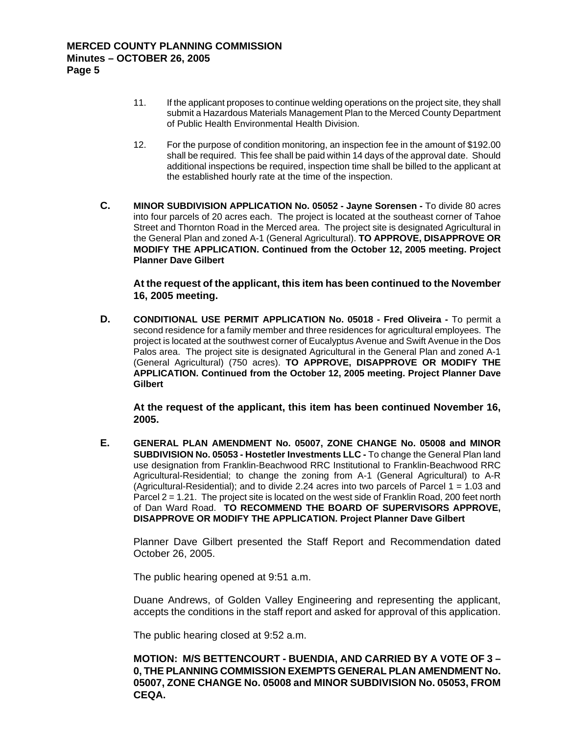- 11. If the applicant proposes to continue welding operations on the project site, they shall submit a Hazardous Materials Management Plan to the Merced County Department of Public Health Environmental Health Division.
- 12. For the purpose of condition monitoring, an inspection fee in the amount of \$192.00 shall be required. This fee shall be paid within 14 days of the approval date. Should additional inspections be required, inspection time shall be billed to the applicant at the established hourly rate at the time of the inspection.
- **C. MINOR SUBDIVISION APPLICATION No. 05052 Jayne Sorensen** To divide 80 acres into four parcels of 20 acres each. The project is located at the southeast corner of Tahoe Street and Thornton Road in the Merced area. The project site is designated Agricultural in the General Plan and zoned A-1 (General Agricultural). **TO APPROVE, DISAPPROVE OR MODIFY THE APPLICATION. Continued from the October 12, 2005 meeting. Project Planner Dave Gilbert**

 **At the request of the applicant, this item has been continued to the November 16, 2005 meeting.** 

**D. CONDITIONAL USE PERMIT APPLICATION No. 05018 - Fred Oliveira -** To permit a second residence for a family member and three residences for agricultural employees. The project is located at the southwest corner of Eucalyptus Avenue and Swift Avenue in the Dos Palos area. The project site is designated Agricultural in the General Plan and zoned A-1 (General Agricultural) (750 acres). **TO APPROVE, DISAPPROVE OR MODIFY THE APPLICATION. Continued from the October 12, 2005 meeting. Project Planner Dave Gilbert** 

 **At the request of the applicant, this item has been continued November 16, 2005.** 

**E. GENERAL PLAN AMENDMENT No. 05007, ZONE CHANGE No. 05008 and MINOR SUBDIVISION No. 05053 - Hostetler Investments LLC -** To change the General Plan land use designation from Franklin-Beachwood RRC Institutional to Franklin-Beachwood RRC Agricultural-Residential; to change the zoning from A-1 (General Agricultural) to A-R (Agricultural-Residential); and to divide 2.24 acres into two parcels of Parcel 1 = 1.03 and Parcel 2 = 1.21. The project site is located on the west side of Franklin Road, 200 feet north of Dan Ward Road. **TO RECOMMEND THE BOARD OF SUPERVISORS APPROVE, DISAPPROVE OR MODIFY THE APPLICATION. Project Planner Dave Gilbert** 

Planner Dave Gilbert presented the Staff Report and Recommendation dated October 26, 2005.

The public hearing opened at 9:51 a.m.

Duane Andrews, of Golden Valley Engineering and representing the applicant, accepts the conditions in the staff report and asked for approval of this application.

The public hearing closed at 9:52 a.m.

**MOTION: M/S BETTENCOURT - BUENDIA, AND CARRIED BY A VOTE OF 3 – 0, THE PLANNING COMMISSION EXEMPTS GENERAL PLAN AMENDMENT No. 05007, ZONE CHANGE No. 05008 and MINOR SUBDIVISION No. 05053, FROM CEQA.**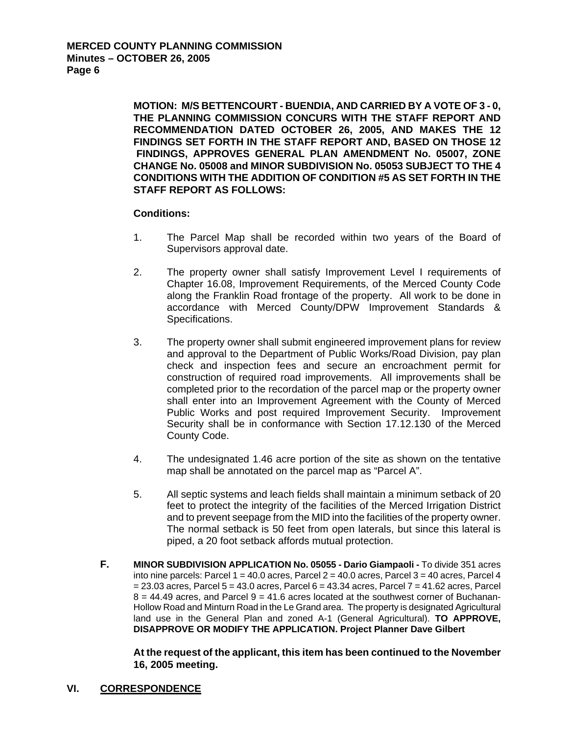**MOTION: M/S BETTENCOURT - BUENDIA, AND CARRIED BY A VOTE OF 3 - 0, THE PLANNING COMMISSION CONCURS WITH THE STAFF REPORT AND RECOMMENDATION DATED OCTOBER 26, 2005, AND MAKES THE 12 FINDINGS SET FORTH IN THE STAFF REPORT AND, BASED ON THOSE 12 FINDINGS, APPROVES GENERAL PLAN AMENDMENT No. 05007, ZONE CHANGE No. 05008 and MINOR SUBDIVISION No. 05053 SUBJECT TO THE 4 CONDITIONS WITH THE ADDITION OF CONDITION #5 AS SET FORTH IN THE STAFF REPORT AS FOLLOWS:** 

### **Conditions:**

- 1. The Parcel Map shall be recorded within two years of the Board of Supervisors approval date.
- 2. The property owner shall satisfy Improvement Level I requirements of Chapter 16.08, Improvement Requirements, of the Merced County Code along the Franklin Road frontage of the property. All work to be done in accordance with Merced County/DPW Improvement Standards & Specifications.
- 3. The property owner shall submit engineered improvement plans for review and approval to the Department of Public Works/Road Division, pay plan check and inspection fees and secure an encroachment permit for construction of required road improvements. All improvements shall be completed prior to the recordation of the parcel map or the property owner shall enter into an Improvement Agreement with the County of Merced Public Works and post required Improvement Security. Improvement Security shall be in conformance with Section 17.12.130 of the Merced County Code.
- 4. The undesignated 1.46 acre portion of the site as shown on the tentative map shall be annotated on the parcel map as "Parcel A".
- 5. All septic systems and leach fields shall maintain a minimum setback of 20 feet to protect the integrity of the facilities of the Merced Irrigation District and to prevent seepage from the MID into the facilities of the property owner. The normal setback is 50 feet from open laterals, but since this lateral is piped, a 20 foot setback affords mutual protection.
- **F. MINOR SUBDIVISION APPLICATION No. 05055 Dario Giampaoli** To divide 351 acres into nine parcels: Parcel  $1 = 40.0$  acres, Parcel  $2 = 40.0$  acres, Parcel  $3 = 40$  acres, Parcel 4  $= 23.03$  acres, Parcel  $5 = 43.0$  acres, Parcel  $6 = 43.34$  acres, Parcel  $7 = 41.62$  acres, Parcel  $8 = 44.49$  acres, and Parcel  $9 = 41.6$  acres located at the southwest corner of Buchanan-Hollow Road and Minturn Road in the Le Grand area. The property is designated Agricultural land use in the General Plan and zoned A-1 (General Agricultural). **TO APPROVE, DISAPPROVE OR MODIFY THE APPLICATION. Project Planner Dave Gilbert**

 **At the request of the applicant, this item has been continued to the November 16, 2005 meeting.** 

**VI. CORRESPONDENCE**